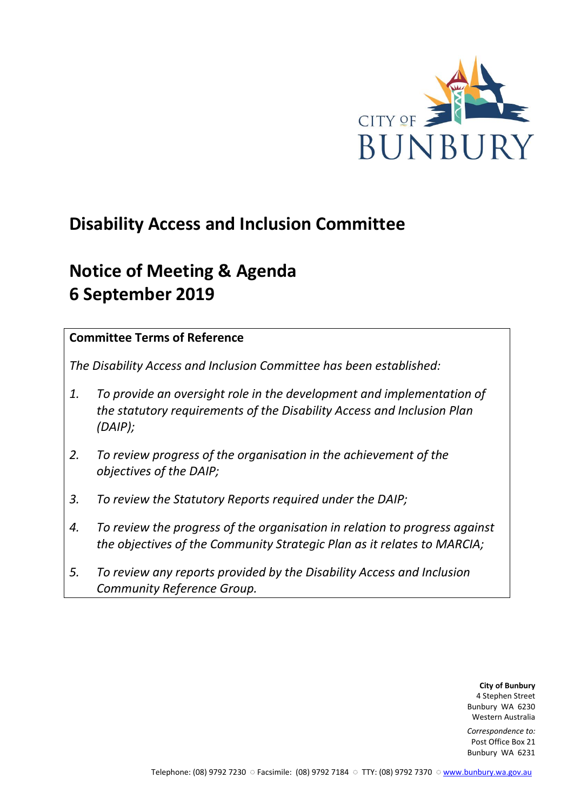

# **Disability Access and Inclusion Committee**

# **Notice of Meeting & Agenda 6 September 2019**

## **Committee Terms of Reference**

*The Disability Access and Inclusion Committee has been established:* 

- *1. To provide an oversight role in the development and implementation of the statutory requirements of the Disability Access and Inclusion Plan (DAIP);*
- *2. To review progress of the organisation in the achievement of the objectives of the DAIP;*
- *3. To review the Statutory Reports required under the DAIP;*
- *4. To review the progress of the organisation in relation to progress against the objectives of the Community Strategic Plan as it relates to MARCIA;*
- *5. To review any reports provided by the Disability Access and Inclusion Community Reference Group.*

**City of Bunbury** 4 Stephen Street Bunbury WA 6230 Western Australia

*Correspondence to:* Post Office Box 21 Bunbury WA 6231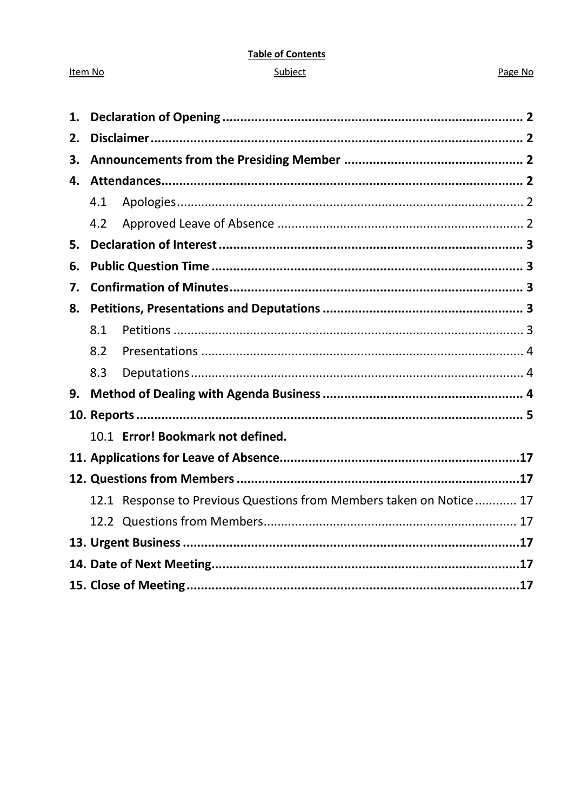#### **Table of Contents**

#### Subject

#### Page No

| 1. |                                                                     |  |  |  |  |  |
|----|---------------------------------------------------------------------|--|--|--|--|--|
| 2. |                                                                     |  |  |  |  |  |
| 3. |                                                                     |  |  |  |  |  |
| 4. |                                                                     |  |  |  |  |  |
|    | 4.1                                                                 |  |  |  |  |  |
|    | 4.2                                                                 |  |  |  |  |  |
| 5. |                                                                     |  |  |  |  |  |
| 6. |                                                                     |  |  |  |  |  |
| 7. |                                                                     |  |  |  |  |  |
| 8. |                                                                     |  |  |  |  |  |
|    | 8.1                                                                 |  |  |  |  |  |
|    | 8.2                                                                 |  |  |  |  |  |
|    | 8.3                                                                 |  |  |  |  |  |
| 9. |                                                                     |  |  |  |  |  |
|    |                                                                     |  |  |  |  |  |
|    | 10.1 Error! Bookmark not defined.                                   |  |  |  |  |  |
|    |                                                                     |  |  |  |  |  |
|    |                                                                     |  |  |  |  |  |
|    | 12.1 Response to Previous Questions from Members taken on Notice 17 |  |  |  |  |  |
|    |                                                                     |  |  |  |  |  |
|    |                                                                     |  |  |  |  |  |
|    |                                                                     |  |  |  |  |  |
|    |                                                                     |  |  |  |  |  |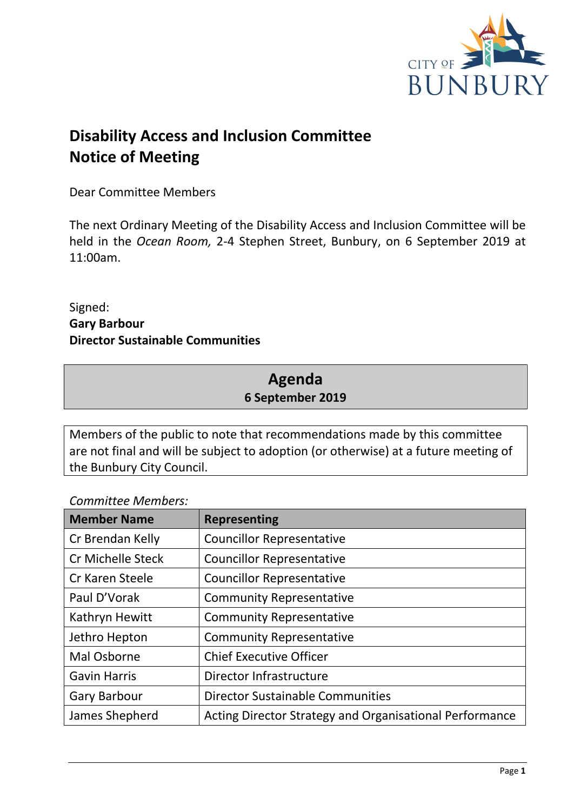

# **Disability Access and Inclusion Committee Notice of Meeting**

Dear Committee Members

The next Ordinary Meeting of the Disability Access and Inclusion Committee will be held in the *Ocean Room,* 2-4 Stephen Street, Bunbury, on 6 September 2019 at 11:00am.

Signed: **Gary Barbour Director Sustainable Communities**

# **Agenda 6 September 2019**

Members of the public to note that recommendations made by this committee are not final and will be subject to adoption (or otherwise) at a future meeting of the Bunbury City Council.

## *Committee Members:*

| <b>Member Name</b>       | <b>Representing</b>                                     |  |  |
|--------------------------|---------------------------------------------------------|--|--|
| Cr Brendan Kelly         | <b>Councillor Representative</b>                        |  |  |
| <b>Cr Michelle Steck</b> | <b>Councillor Representative</b>                        |  |  |
| Cr Karen Steele          | <b>Councillor Representative</b>                        |  |  |
| Paul D'Vorak             | <b>Community Representative</b>                         |  |  |
| Kathryn Hewitt           | <b>Community Representative</b>                         |  |  |
| Jethro Hepton            | <b>Community Representative</b>                         |  |  |
| Mal Osborne              | <b>Chief Executive Officer</b>                          |  |  |
| <b>Gavin Harris</b>      | Director Infrastructure                                 |  |  |
| <b>Gary Barbour</b>      | <b>Director Sustainable Communities</b>                 |  |  |
| James Shepherd           | Acting Director Strategy and Organisational Performance |  |  |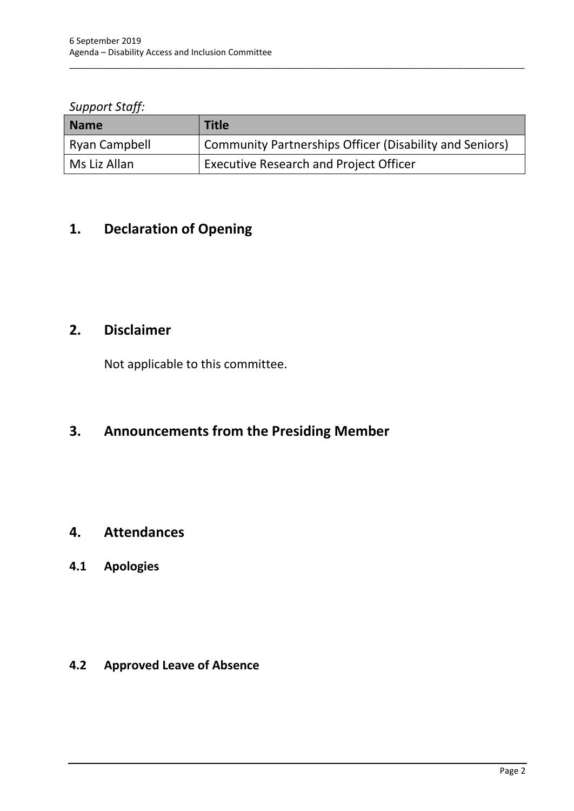#### *Support Staff:*

| <b>Name</b>   | <b>Title</b>                                                   |
|---------------|----------------------------------------------------------------|
| Ryan Campbell | <b>Community Partnerships Officer (Disability and Seniors)</b> |
| Ms Liz Allan  | <b>Executive Research and Project Officer</b>                  |

\_\_\_\_\_\_\_\_\_\_\_\_\_\_\_\_\_\_\_\_\_\_\_\_\_\_\_\_\_\_\_\_\_\_\_\_\_\_\_\_\_\_\_\_\_\_\_\_\_\_\_\_\_\_\_\_\_\_\_\_\_\_\_\_\_\_\_\_\_\_\_\_\_\_\_\_\_\_\_\_\_\_\_\_\_\_\_\_\_\_\_\_\_\_\_

# <span id="page-3-0"></span>**1. Declaration of Opening**

# <span id="page-3-1"></span>**2. Disclaimer**

Not applicable to this committee.

# <span id="page-3-2"></span>**3. Announcements from the Presiding Member**

## <span id="page-3-3"></span>**4. Attendances**

## <span id="page-3-4"></span>**4.1 Apologies**

<span id="page-3-5"></span>**4.2 Approved Leave of Absence**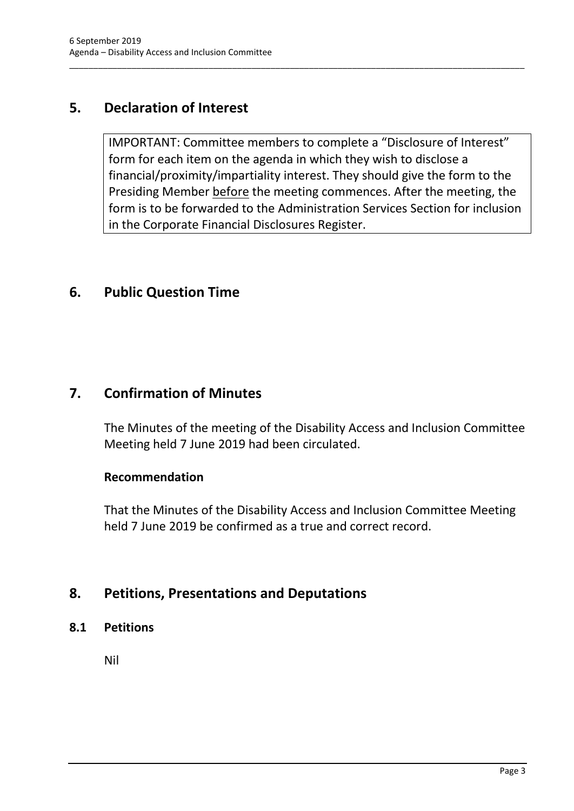# <span id="page-4-0"></span>**5. Declaration of Interest**

IMPORTANT: Committee members to complete a "Disclosure of Interest" form for each item on the agenda in which they wish to disclose a financial/proximity/impartiality interest. They should give the form to the Presiding Member before the meeting commences. After the meeting, the form is to be forwarded to the Administration Services Section for inclusion in the Corporate Financial Disclosures Register.

\_\_\_\_\_\_\_\_\_\_\_\_\_\_\_\_\_\_\_\_\_\_\_\_\_\_\_\_\_\_\_\_\_\_\_\_\_\_\_\_\_\_\_\_\_\_\_\_\_\_\_\_\_\_\_\_\_\_\_\_\_\_\_\_\_\_\_\_\_\_\_\_\_\_\_\_\_\_\_\_\_\_\_\_\_\_\_\_\_\_\_\_\_\_\_

# <span id="page-4-1"></span>**6. Public Question Time**

# <span id="page-4-2"></span>**7. Confirmation of Minutes**

The Minutes of the meeting of the Disability Access and Inclusion Committee Meeting held 7 June 2019 had been circulated.

## **Recommendation**

That the Minutes of the Disability Access and Inclusion Committee Meeting held 7 June 2019 be confirmed as a true and correct record.

# <span id="page-4-3"></span>**8. Petitions, Presentations and Deputations**

<span id="page-4-4"></span>**8.1 Petitions**

Nil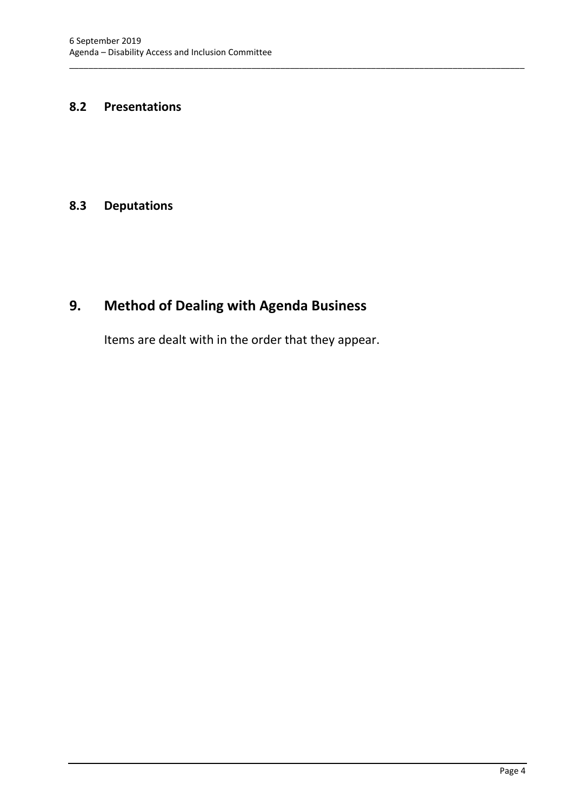#### <span id="page-5-0"></span>**8.2 Presentations**

#### <span id="page-5-1"></span>**8.3 Deputations**

# <span id="page-5-2"></span>**9. Method of Dealing with Agenda Business**

Items are dealt with in the order that they appear.

\_\_\_\_\_\_\_\_\_\_\_\_\_\_\_\_\_\_\_\_\_\_\_\_\_\_\_\_\_\_\_\_\_\_\_\_\_\_\_\_\_\_\_\_\_\_\_\_\_\_\_\_\_\_\_\_\_\_\_\_\_\_\_\_\_\_\_\_\_\_\_\_\_\_\_\_\_\_\_\_\_\_\_\_\_\_\_\_\_\_\_\_\_\_\_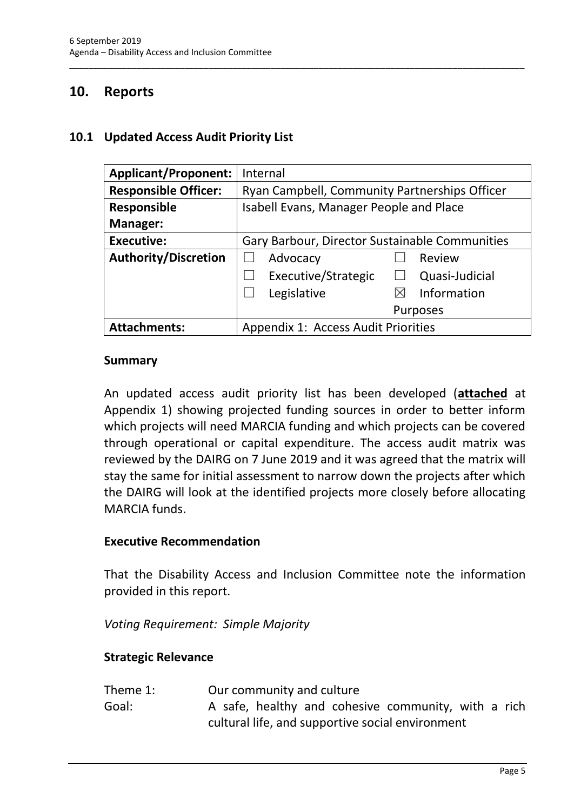# <span id="page-6-0"></span>**10. Reports**

#### **10.1 Updated Access Audit Priority List**

| <b>Applicant/Proponent:</b> | Internal                                       |  |  |  |
|-----------------------------|------------------------------------------------|--|--|--|
| <b>Responsible Officer:</b> | Ryan Campbell, Community Partnerships Officer  |  |  |  |
| <b>Responsible</b>          | Isabell Evans, Manager People and Place        |  |  |  |
| <b>Manager:</b>             |                                                |  |  |  |
| <b>Executive:</b>           | Gary Barbour, Director Sustainable Communities |  |  |  |
| <b>Authority/Discretion</b> | Advocacy<br>Review                             |  |  |  |
|                             | Executive/Strategic<br>Quasi-Judicial          |  |  |  |
|                             | Information<br>Legislative<br>$\boxtimes$      |  |  |  |
|                             | Purposes                                       |  |  |  |
| <b>Attachments:</b>         | <b>Appendix 1: Access Audit Priorities</b>     |  |  |  |

\_\_\_\_\_\_\_\_\_\_\_\_\_\_\_\_\_\_\_\_\_\_\_\_\_\_\_\_\_\_\_\_\_\_\_\_\_\_\_\_\_\_\_\_\_\_\_\_\_\_\_\_\_\_\_\_\_\_\_\_\_\_\_\_\_\_\_\_\_\_\_\_\_\_\_\_\_\_\_\_\_\_\_\_\_\_\_\_\_\_\_\_\_\_\_

#### **Summary**

An updated access audit priority list has been developed (**attached** at Appendix 1) showing projected funding sources in order to better inform which projects will need MARCIA funding and which projects can be covered through operational or capital expenditure. The access audit matrix was reviewed by the DAIRG on 7 June 2019 and it was agreed that the matrix will stay the same for initial assessment to narrow down the projects after which the DAIRG will look at the identified projects more closely before allocating MARCIA funds.

#### **Executive Recommendation**

That the Disability Access and Inclusion Committee note the information provided in this report.

*Voting Requirement: Simple Majority*

#### **Strategic Relevance**

| Theme 1: | Our community and culture |  |  |                                                     |  |  |
|----------|---------------------------|--|--|-----------------------------------------------------|--|--|
| Goal:    |                           |  |  | A safe, healthy and cohesive community, with a rich |  |  |
|          |                           |  |  | cultural life, and supportive social environment    |  |  |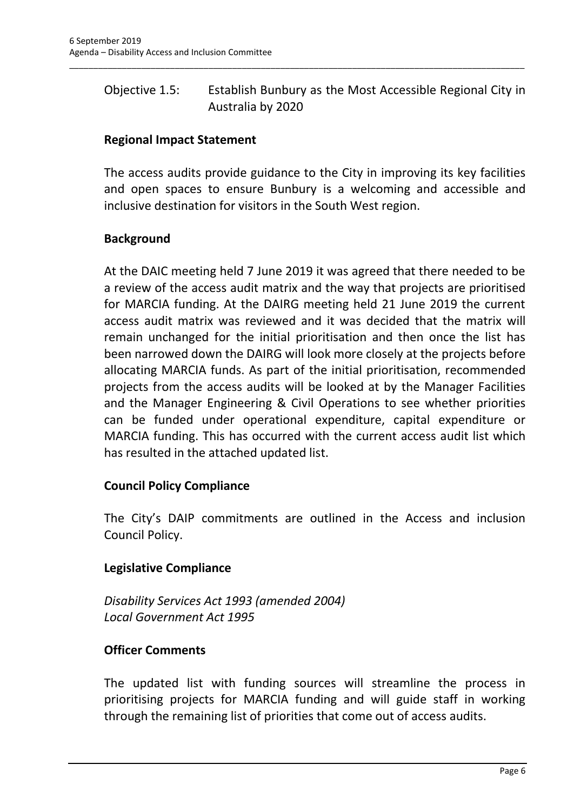# Objective 1.5: Establish Bunbury as the Most Accessible Regional City in Australia by 2020

\_\_\_\_\_\_\_\_\_\_\_\_\_\_\_\_\_\_\_\_\_\_\_\_\_\_\_\_\_\_\_\_\_\_\_\_\_\_\_\_\_\_\_\_\_\_\_\_\_\_\_\_\_\_\_\_\_\_\_\_\_\_\_\_\_\_\_\_\_\_\_\_\_\_\_\_\_\_\_\_\_\_\_\_\_\_\_\_\_\_\_\_\_\_\_

## **Regional Impact Statement**

The access audits provide guidance to the City in improving its key facilities and open spaces to ensure Bunbury is a welcoming and accessible and inclusive destination for visitors in the South West region.

## **Background**

At the DAIC meeting held 7 June 2019 it was agreed that there needed to be a review of the access audit matrix and the way that projects are prioritised for MARCIA funding. At the DAIRG meeting held 21 June 2019 the current access audit matrix was reviewed and it was decided that the matrix will remain unchanged for the initial prioritisation and then once the list has been narrowed down the DAIRG will look more closely at the projects before allocating MARCIA funds. As part of the initial prioritisation, recommended projects from the access audits will be looked at by the Manager Facilities and the Manager Engineering & Civil Operations to see whether priorities can be funded under operational expenditure, capital expenditure or MARCIA funding. This has occurred with the current access audit list which has resulted in the attached updated list.

## **Council Policy Compliance**

The City's DAIP commitments are outlined in the Access and inclusion Council Policy.

## **Legislative Compliance**

*Disability Services Act 1993 (amended 2004) Local Government Act 1995*

## **Officer Comments**

The updated list with funding sources will streamline the process in prioritising projects for MARCIA funding and will guide staff in working through the remaining list of priorities that come out of access audits.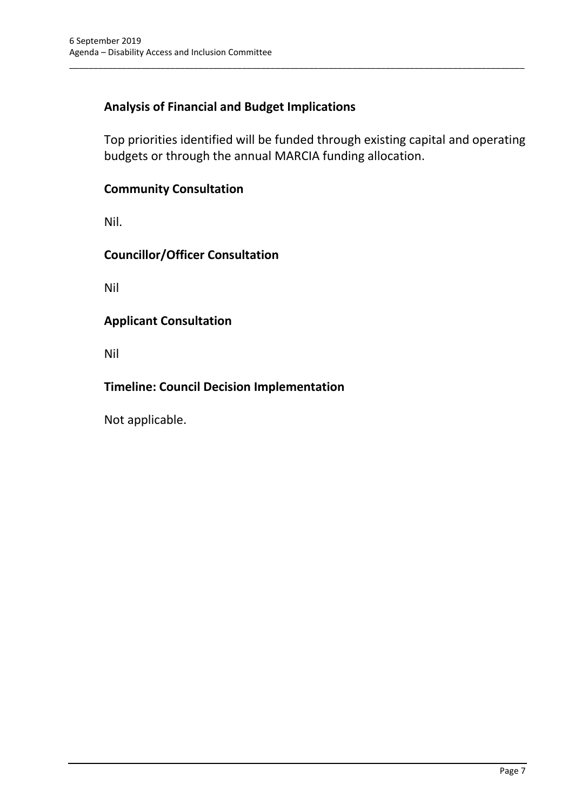# **Analysis of Financial and Budget Implications**

Top priorities identified will be funded through existing capital and operating budgets or through the annual MARCIA funding allocation.

\_\_\_\_\_\_\_\_\_\_\_\_\_\_\_\_\_\_\_\_\_\_\_\_\_\_\_\_\_\_\_\_\_\_\_\_\_\_\_\_\_\_\_\_\_\_\_\_\_\_\_\_\_\_\_\_\_\_\_\_\_\_\_\_\_\_\_\_\_\_\_\_\_\_\_\_\_\_\_\_\_\_\_\_\_\_\_\_\_\_\_\_\_\_\_

## **Community Consultation**

Nil.

**Councillor/Officer Consultation**

Nil

## **Applicant Consultation**

Nil

## **Timeline: Council Decision Implementation**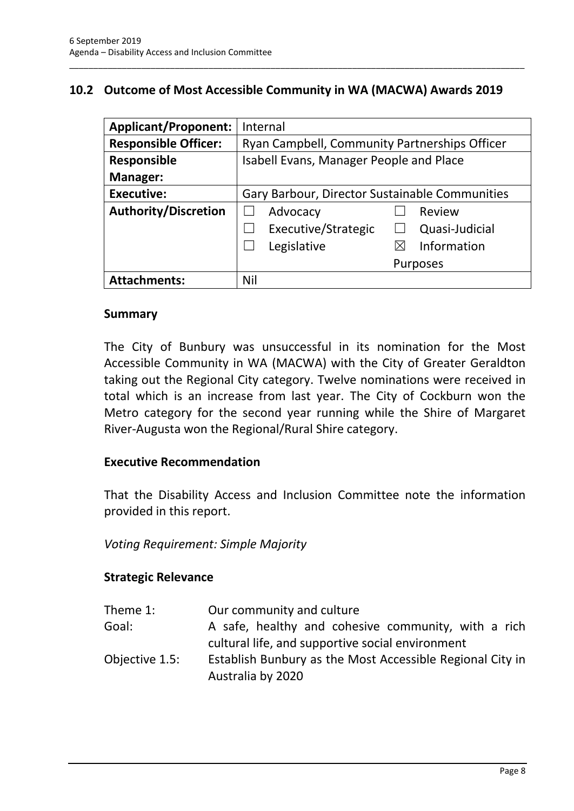## **10.2 Outcome of Most Accessible Community in WA (MACWA) Awards 2019**

\_\_\_\_\_\_\_\_\_\_\_\_\_\_\_\_\_\_\_\_\_\_\_\_\_\_\_\_\_\_\_\_\_\_\_\_\_\_\_\_\_\_\_\_\_\_\_\_\_\_\_\_\_\_\_\_\_\_\_\_\_\_\_\_\_\_\_\_\_\_\_\_\_\_\_\_\_\_\_\_\_\_\_\_\_\_\_\_\_\_\_\_\_\_\_

| <b>Applicant/Proponent:</b> | Internal                                       |  |  |  |
|-----------------------------|------------------------------------------------|--|--|--|
| <b>Responsible Officer:</b> | Ryan Campbell, Community Partnerships Officer  |  |  |  |
| <b>Responsible</b>          | Isabell Evans, Manager People and Place        |  |  |  |
| <b>Manager:</b>             |                                                |  |  |  |
| <b>Executive:</b>           | Gary Barbour, Director Sustainable Communities |  |  |  |
| <b>Authority/Discretion</b> | Advocacy<br>Review                             |  |  |  |
|                             | Executive/Strategic<br>Quasi-Judicial          |  |  |  |
|                             | Information<br>Legislative<br>$\boxtimes$      |  |  |  |
|                             | <b>Purposes</b>                                |  |  |  |
| <b>Attachments:</b>         | Nil                                            |  |  |  |

#### **Summary**

The City of Bunbury was unsuccessful in its nomination for the Most Accessible Community in WA (MACWA) with the City of Greater Geraldton taking out the Regional City category. Twelve nominations were received in total which is an increase from last year. The City of Cockburn won the Metro category for the second year running while the Shire of Margaret River-Augusta won the Regional/Rural Shire category.

#### **Executive Recommendation**

That the Disability Access and Inclusion Committee note the information provided in this report.

*Voting Requirement: Simple Majority*

## **Strategic Relevance**

| Theme 1:       | Our community and culture                                                                               |
|----------------|---------------------------------------------------------------------------------------------------------|
| Goal:          | A safe, healthy and cohesive community, with a rich<br>cultural life, and supportive social environment |
| Objective 1.5: | Establish Bunbury as the Most Accessible Regional City in<br>Australia by 2020                          |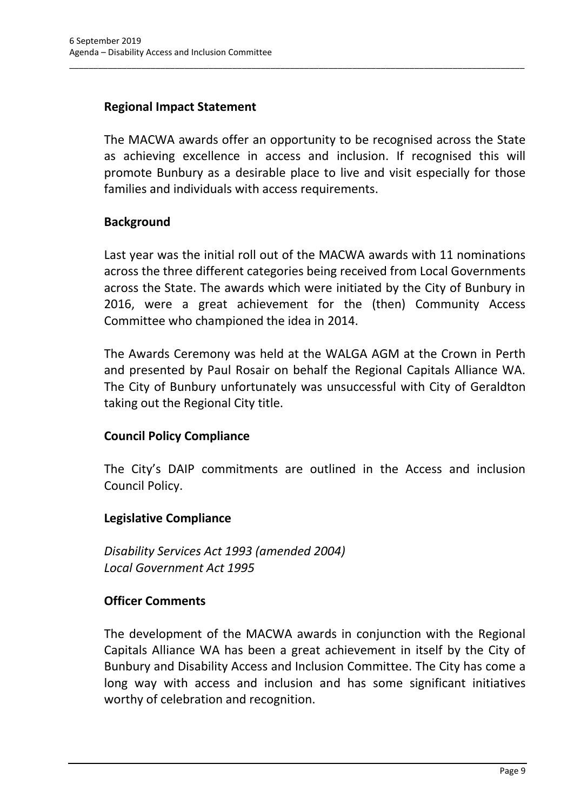## **Regional Impact Statement**

The MACWA awards offer an opportunity to be recognised across the State as achieving excellence in access and inclusion. If recognised this will promote Bunbury as a desirable place to live and visit especially for those families and individuals with access requirements.

\_\_\_\_\_\_\_\_\_\_\_\_\_\_\_\_\_\_\_\_\_\_\_\_\_\_\_\_\_\_\_\_\_\_\_\_\_\_\_\_\_\_\_\_\_\_\_\_\_\_\_\_\_\_\_\_\_\_\_\_\_\_\_\_\_\_\_\_\_\_\_\_\_\_\_\_\_\_\_\_\_\_\_\_\_\_\_\_\_\_\_\_\_\_\_

## **Background**

Last year was the initial roll out of the MACWA awards with 11 nominations across the three different categories being received from Local Governments across the State. The awards which were initiated by the City of Bunbury in 2016, were a great achievement for the (then) Community Access Committee who championed the idea in 2014.

The Awards Ceremony was held at the WALGA AGM at the Crown in Perth and presented by Paul Rosair on behalf the Regional Capitals Alliance WA. The City of Bunbury unfortunately was unsuccessful with City of Geraldton taking out the Regional City title.

## **Council Policy Compliance**

The City's DAIP commitments are outlined in the Access and inclusion Council Policy.

#### **Legislative Compliance**

*Disability Services Act 1993 (amended 2004) Local Government Act 1995*

## **Officer Comments**

The development of the MACWA awards in conjunction with the Regional Capitals Alliance WA has been a great achievement in itself by the City of Bunbury and Disability Access and Inclusion Committee. The City has come a long way with access and inclusion and has some significant initiatives worthy of celebration and recognition.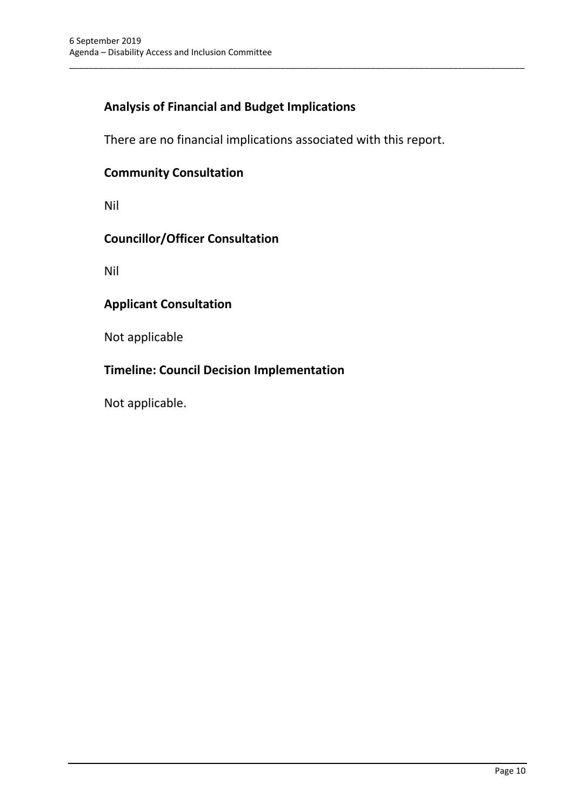# **Analysis of Financial and Budget Implications**

There are no financial implications associated with this report.

\_\_\_\_\_\_\_\_\_\_\_\_\_\_\_\_\_\_\_\_\_\_\_\_\_\_\_\_\_\_\_\_\_\_\_\_\_\_\_\_\_\_\_\_\_\_\_\_\_\_\_\_\_\_\_\_\_\_\_\_\_\_\_\_\_\_\_\_\_\_\_\_\_\_\_\_\_\_\_\_\_\_\_\_\_\_\_\_\_\_\_\_\_\_\_

## **Community Consultation**

Nil

#### **Councillor/Officer Consultation**

Nil

## **Applicant Consultation**

Not applicable

## **Timeline: Council Decision Implementation**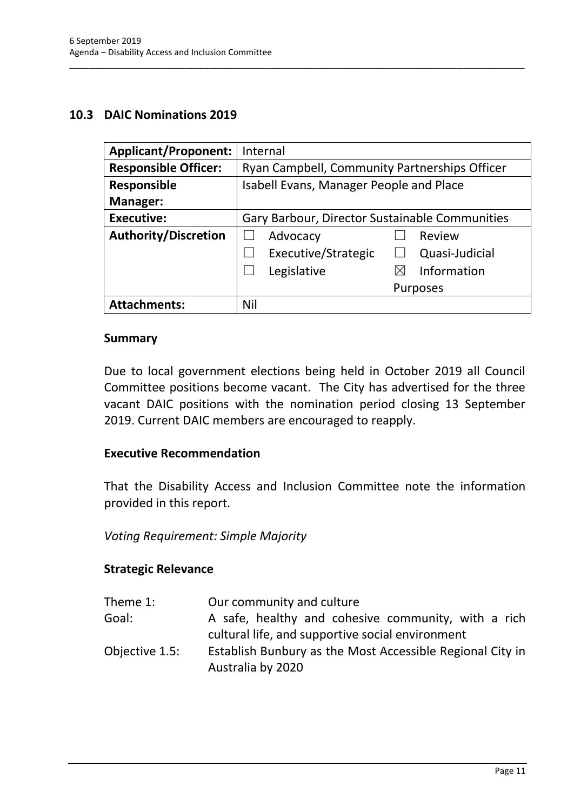#### **10.3 DAIC Nominations 2019**

| <b>Applicant/Proponent:</b> | Internal                                       |  |  |  |
|-----------------------------|------------------------------------------------|--|--|--|
| <b>Responsible Officer:</b> | Ryan Campbell, Community Partnerships Officer  |  |  |  |
| Responsible                 | Isabell Evans, Manager People and Place        |  |  |  |
| <b>Manager:</b>             |                                                |  |  |  |
| <b>Executive:</b>           | Gary Barbour, Director Sustainable Communities |  |  |  |
| <b>Authority/Discretion</b> | Advocacy<br>Review                             |  |  |  |
|                             | Executive/Strategic<br>Quasi-Judicial          |  |  |  |
|                             | Information<br>Legislative                     |  |  |  |
|                             | <b>Purposes</b>                                |  |  |  |
| <b>Attachments:</b>         | Nil                                            |  |  |  |

\_\_\_\_\_\_\_\_\_\_\_\_\_\_\_\_\_\_\_\_\_\_\_\_\_\_\_\_\_\_\_\_\_\_\_\_\_\_\_\_\_\_\_\_\_\_\_\_\_\_\_\_\_\_\_\_\_\_\_\_\_\_\_\_\_\_\_\_\_\_\_\_\_\_\_\_\_\_\_\_\_\_\_\_\_\_\_\_\_\_\_\_\_\_\_

#### **Summary**

Due to local government elections being held in October 2019 all Council Committee positions become vacant. The City has advertised for the three vacant DAIC positions with the nomination period closing 13 September 2019. Current DAIC members are encouraged to reapply.

#### **Executive Recommendation**

That the Disability Access and Inclusion Committee note the information provided in this report.

#### *Voting Requirement: Simple Majority*

#### **Strategic Relevance**

| Theme 1:       | Our community and culture                                 |
|----------------|-----------------------------------------------------------|
| Goal:          | A safe, healthy and cohesive community, with a rich       |
|                | cultural life, and supportive social environment          |
| Objective 1.5: | Establish Bunbury as the Most Accessible Regional City in |
|                | Australia by 2020                                         |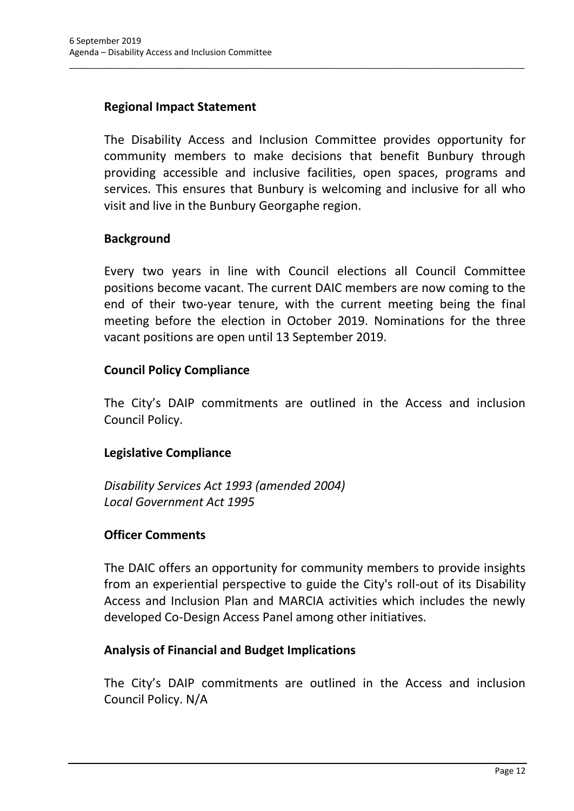## **Regional Impact Statement**

The Disability Access and Inclusion Committee provides opportunity for community members to make decisions that benefit Bunbury through providing accessible and inclusive facilities, open spaces, programs and services. This ensures that Bunbury is welcoming and inclusive for all who visit and live in the Bunbury Georgaphe region.

\_\_\_\_\_\_\_\_\_\_\_\_\_\_\_\_\_\_\_\_\_\_\_\_\_\_\_\_\_\_\_\_\_\_\_\_\_\_\_\_\_\_\_\_\_\_\_\_\_\_\_\_\_\_\_\_\_\_\_\_\_\_\_\_\_\_\_\_\_\_\_\_\_\_\_\_\_\_\_\_\_\_\_\_\_\_\_\_\_\_\_\_\_\_\_

#### **Background**

Every two years in line with Council elections all Council Committee positions become vacant. The current DAIC members are now coming to the end of their two-year tenure, with the current meeting being the final meeting before the election in October 2019. Nominations for the three vacant positions are open until 13 September 2019.

#### **Council Policy Compliance**

The City's DAIP commitments are outlined in the Access and inclusion Council Policy.

## **Legislative Compliance**

*Disability Services Act 1993 (amended 2004) Local Government Act 1995*

## **Officer Comments**

The DAIC offers an opportunity for community members to provide insights from an experiential perspective to guide the City's roll-out of its Disability Access and Inclusion Plan and MARCIA activities which includes the newly developed Co-Design Access Panel among other initiatives.

#### **Analysis of Financial and Budget Implications**

The City's DAIP commitments are outlined in the Access and inclusion Council Policy. N/A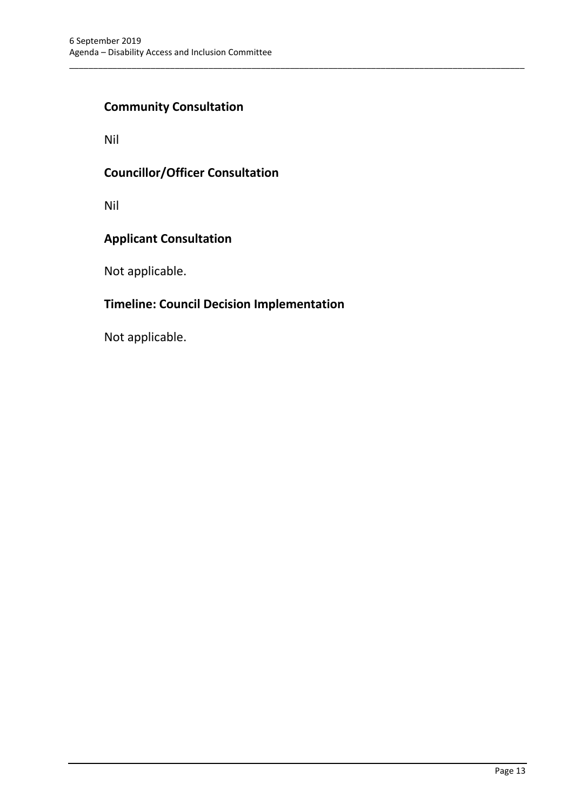## **Community Consultation**

Nil

## **Councillor/Officer Consultation**

Nil

## **Applicant Consultation**

Not applicable.

# **Timeline: Council Decision Implementation**

\_\_\_\_\_\_\_\_\_\_\_\_\_\_\_\_\_\_\_\_\_\_\_\_\_\_\_\_\_\_\_\_\_\_\_\_\_\_\_\_\_\_\_\_\_\_\_\_\_\_\_\_\_\_\_\_\_\_\_\_\_\_\_\_\_\_\_\_\_\_\_\_\_\_\_\_\_\_\_\_\_\_\_\_\_\_\_\_\_\_\_\_\_\_\_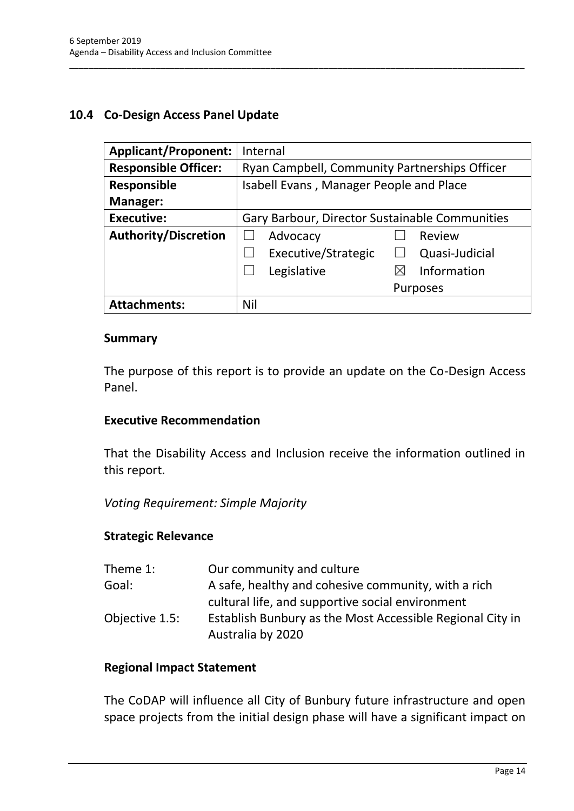#### **10.4 Co-Design Access Panel Update**

| <b>Applicant/Proponent:</b> | Internal                                       |  |  |  |
|-----------------------------|------------------------------------------------|--|--|--|
| <b>Responsible Officer:</b> | Ryan Campbell, Community Partnerships Officer  |  |  |  |
| Responsible                 | Isabell Evans, Manager People and Place        |  |  |  |
| <b>Manager:</b>             |                                                |  |  |  |
| <b>Executive:</b>           | Gary Barbour, Director Sustainable Communities |  |  |  |
| <b>Authority/Discretion</b> | Review<br>Advocacy                             |  |  |  |
|                             | Executive/Strategic<br>Quasi-Judicial          |  |  |  |
|                             | Information<br>Legislative                     |  |  |  |
|                             | <b>Purposes</b>                                |  |  |  |
| <b>Attachments:</b>         | Nil                                            |  |  |  |

\_\_\_\_\_\_\_\_\_\_\_\_\_\_\_\_\_\_\_\_\_\_\_\_\_\_\_\_\_\_\_\_\_\_\_\_\_\_\_\_\_\_\_\_\_\_\_\_\_\_\_\_\_\_\_\_\_\_\_\_\_\_\_\_\_\_\_\_\_\_\_\_\_\_\_\_\_\_\_\_\_\_\_\_\_\_\_\_\_\_\_\_\_\_\_

#### **Summary**

The purpose of this report is to provide an update on the Co-Design Access Panel.

#### **Executive Recommendation**

That the Disability Access and Inclusion receive the information outlined in this report.

*Voting Requirement: Simple Majority*

#### **Strategic Relevance**

| Theme 1:       | Our community and culture                                 |
|----------------|-----------------------------------------------------------|
| Goal:          | A safe, healthy and cohesive community, with a rich       |
|                | cultural life, and supportive social environment          |
| Objective 1.5: | Establish Bunbury as the Most Accessible Regional City in |
|                | Australia by 2020                                         |

#### **Regional Impact Statement**

The CoDAP will influence all City of Bunbury future infrastructure and open space projects from the initial design phase will have a significant impact on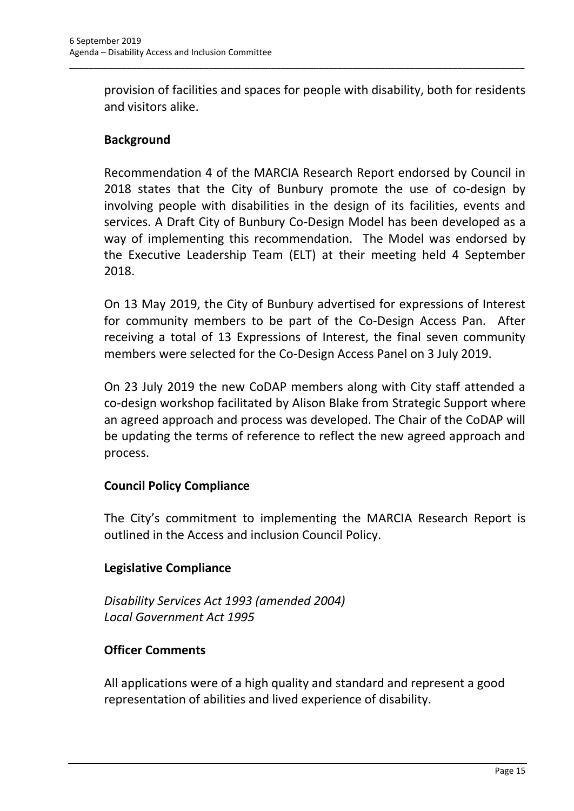provision of facilities and spaces for people with disability, both for residents and visitors alike.

\_\_\_\_\_\_\_\_\_\_\_\_\_\_\_\_\_\_\_\_\_\_\_\_\_\_\_\_\_\_\_\_\_\_\_\_\_\_\_\_\_\_\_\_\_\_\_\_\_\_\_\_\_\_\_\_\_\_\_\_\_\_\_\_\_\_\_\_\_\_\_\_\_\_\_\_\_\_\_\_\_\_\_\_\_\_\_\_\_\_\_\_\_\_\_

## **Background**

Recommendation 4 of the MARCIA Research Report endorsed by Council in 2018 states that the City of Bunbury promote the use of co-design by involving people with disabilities in the design of its facilities, events and services. A Draft City of Bunbury Co-Design Model has been developed as a way of implementing this recommendation. The Model was endorsed by the Executive Leadership Team (ELT) at their meeting held 4 September 2018.

On 13 May 2019, the City of Bunbury advertised for expressions of Interest for community members to be part of the Co-Design Access Pan. After receiving a total of 13 Expressions of Interest, the final seven community members were selected for the Co-Design Access Panel on 3 July 2019.

On 23 July 2019 the new CoDAP members along with City staff attended a co-design workshop facilitated by Alison Blake from Strategic Support where an agreed approach and process was developed. The Chair of the CoDAP will be updating the terms of reference to reflect the new agreed approach and process.

## **Council Policy Compliance**

The City's commitment to implementing the MARCIA Research Report is outlined in the Access and inclusion Council Policy.

## **Legislative Compliance**

*Disability Services Act 1993 (amended 2004) Local Government Act 1995*

## **Officer Comments**

All applications were of a high quality and standard and represent a good representation of abilities and lived experience of disability.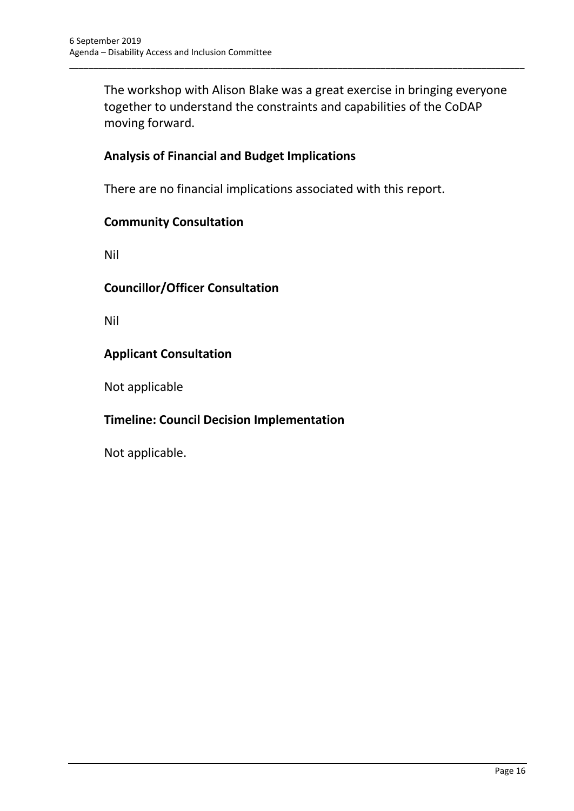The workshop with Alison Blake was a great exercise in bringing everyone together to understand the constraints and capabilities of the CoDAP moving forward.

\_\_\_\_\_\_\_\_\_\_\_\_\_\_\_\_\_\_\_\_\_\_\_\_\_\_\_\_\_\_\_\_\_\_\_\_\_\_\_\_\_\_\_\_\_\_\_\_\_\_\_\_\_\_\_\_\_\_\_\_\_\_\_\_\_\_\_\_\_\_\_\_\_\_\_\_\_\_\_\_\_\_\_\_\_\_\_\_\_\_\_\_\_\_\_

## **Analysis of Financial and Budget Implications**

There are no financial implications associated with this report.

#### **Community Consultation**

Nil

#### **Councillor/Officer Consultation**

Nil

#### **Applicant Consultation**

Not applicable

## **Timeline: Council Decision Implementation**